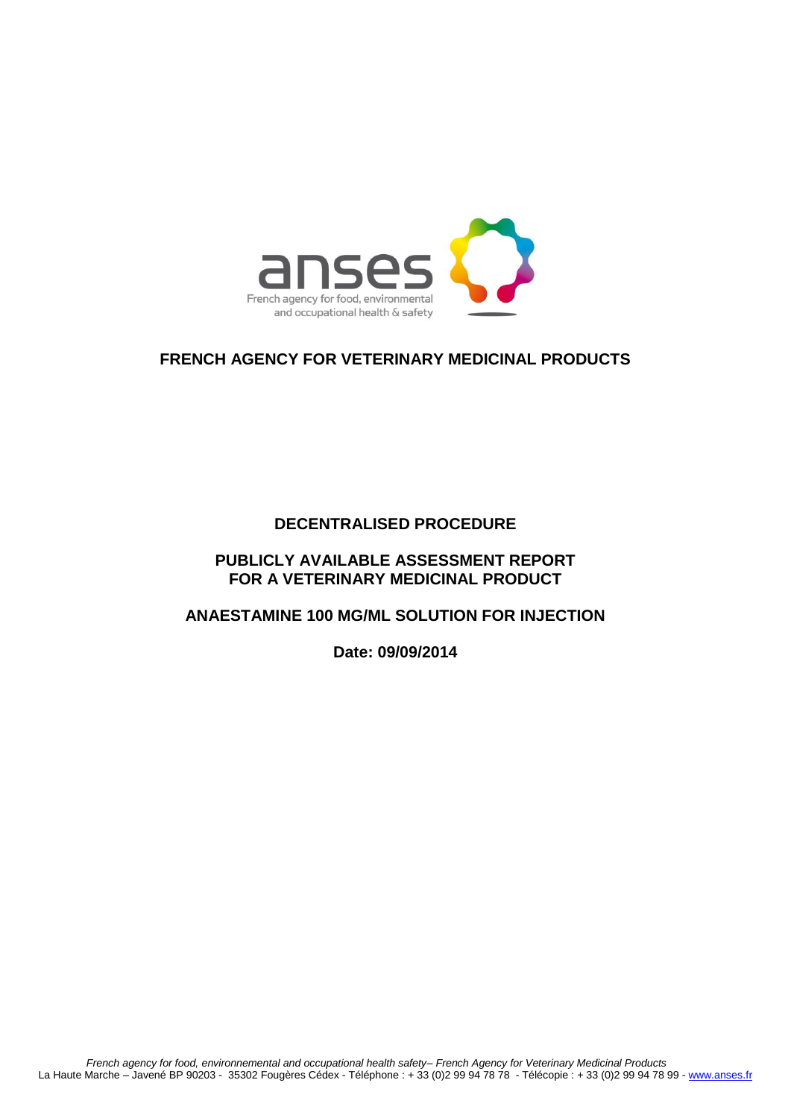

## **FRENCH AGENCY FOR VETERINARY MEDICINAL PRODUCTS**

## **DECENTRALISED PROCEDURE**

## **PUBLICLY AVAILABLE ASSESSMENT REPORT FOR A VETERINARY MEDICINAL PRODUCT**

## **ANAESTAMINE 100 MG/ML SOLUTION FOR INJECTION**

**Date: 09/09/2014**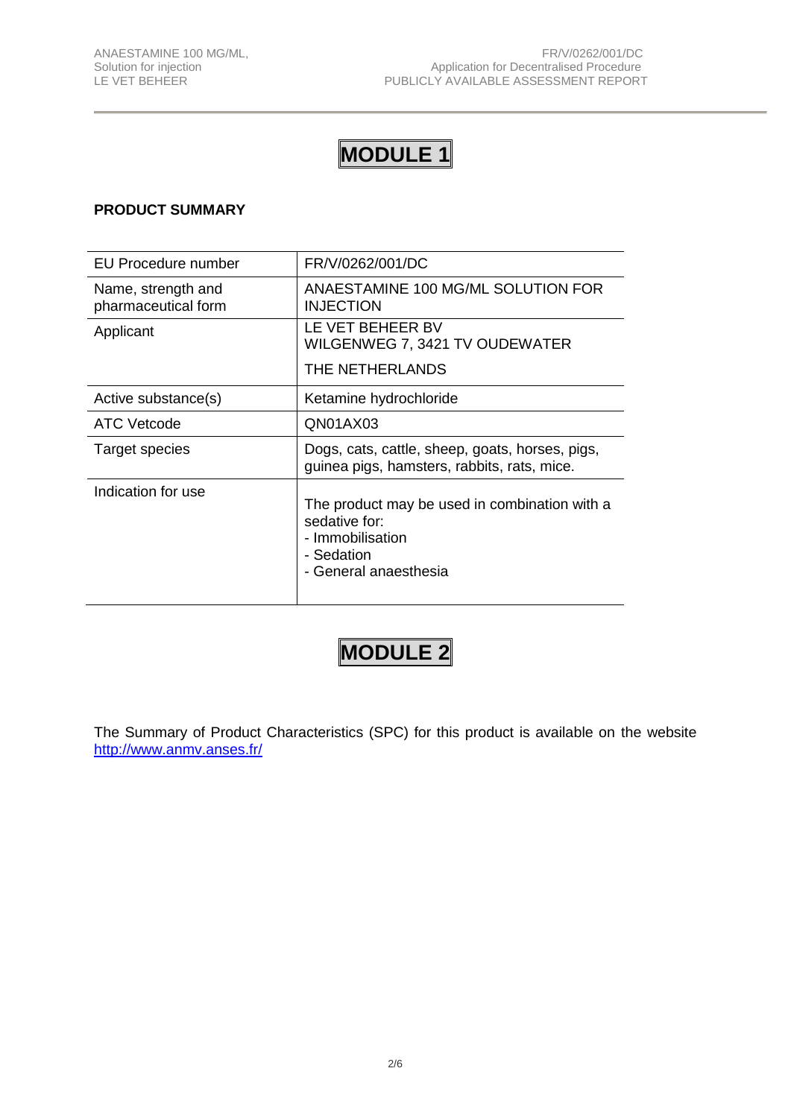## **MODULE 1**

## **PRODUCT SUMMARY**

| EU Procedure number                       | FR/V/0262/001/DC                                                                                                          |
|-------------------------------------------|---------------------------------------------------------------------------------------------------------------------------|
| Name, strength and<br>pharmaceutical form | ANAESTAMINE 100 MG/ML SOLUTION FOR<br><b>INJECTION</b>                                                                    |
| Applicant                                 | LE VET BEHEER BV<br>WILGENWEG 7, 3421 TV OUDEWATER                                                                        |
|                                           | THE NETHERLANDS                                                                                                           |
| Active substance(s)                       | Ketamine hydrochloride                                                                                                    |
| ATC Vetcode                               | QN01AX03                                                                                                                  |
| Target species                            | Dogs, cats, cattle, sheep, goats, horses, pigs,<br>guinea pigs, hamsters, rabbits, rats, mice.                            |
| Indication for use                        | The product may be used in combination with a<br>sedative for:<br>- Immobilisation<br>- Sedation<br>- General anaesthesia |

# **MODULE 2**

The Summary of Product Characteristics (SPC) for this product is available on the website <http://www.anmv.anses.fr/>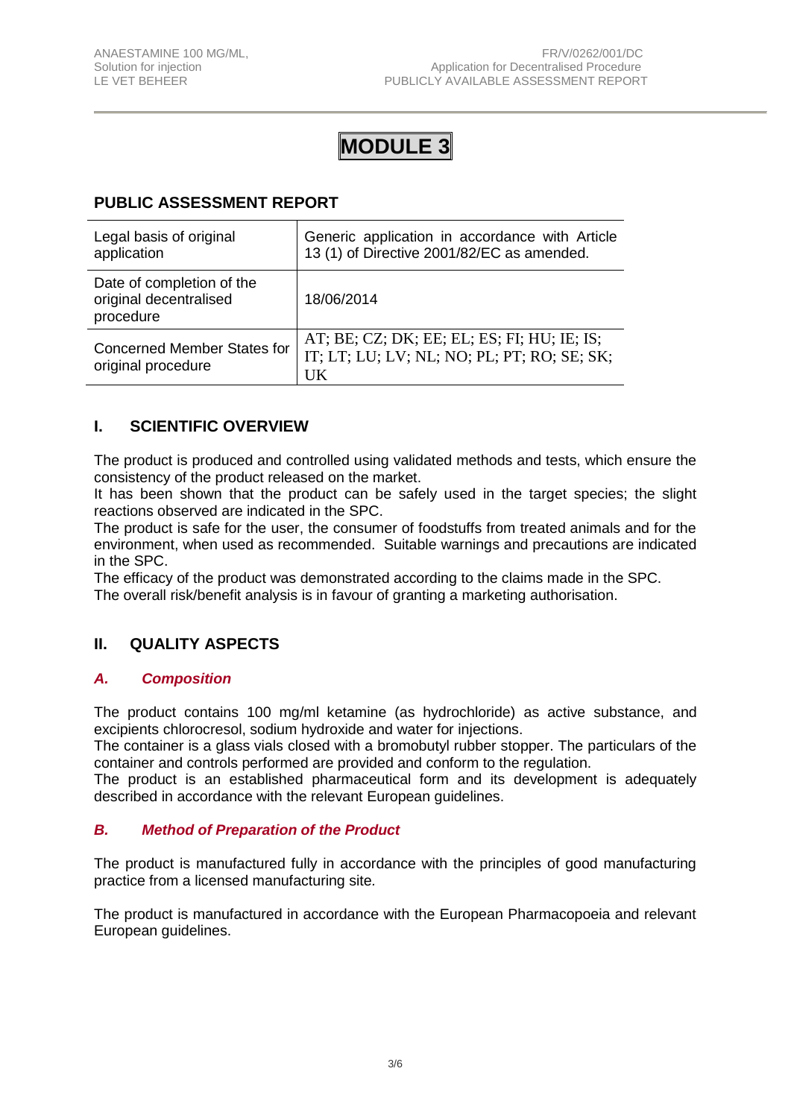## **MODULE 3**

## **PUBLIC ASSESSMENT REPORT**

| Legal basis of original<br>application                           | Generic application in accordance with Article<br>13 (1) of Directive 2001/82/EC as amended.     |
|------------------------------------------------------------------|--------------------------------------------------------------------------------------------------|
| Date of completion of the<br>original decentralised<br>procedure | 18/06/2014                                                                                       |
| <b>Concerned Member States for</b><br>original procedure         | AT; BE; CZ; DK; EE; EL; ES; FI; HU; IE; IS;<br>IT; LT; LU; LV; NL; NO; PL; PT; RO; SE; SK;<br>UK |

## **I. SCIENTIFIC OVERVIEW**

The product is produced and controlled using validated methods and tests, which ensure the consistency of the product released on the market.

It has been shown that the product can be safely used in the target species; the slight reactions observed are indicated in the SPC.

The product is safe for the user, the consumer of foodstuffs from treated animals and for the environment, when used as recommended. Suitable warnings and precautions are indicated in the SPC.

The efficacy of the product was demonstrated according to the claims made in the SPC. The overall risk/benefit analysis is in favour of granting a marketing authorisation.

## **II. QUALITY ASPECTS**

## *A. Composition*

The product contains 100 mg/ml ketamine (as hydrochloride) as active substance, and excipients chlorocresol, sodium hydroxide and water for injections.

The container is a glass vials closed with a bromobutyl rubber stopper. The particulars of the container and controls performed are provided and conform to the regulation.

The product is an established pharmaceutical form and its development is adequately described in accordance with the relevant European guidelines.

## *B. Method of Preparation of the Product*

The product is manufactured fully in accordance with the principles of good manufacturing practice from a licensed manufacturing site*.*

The product is manufactured in accordance with the European Pharmacopoeia and relevant European guidelines.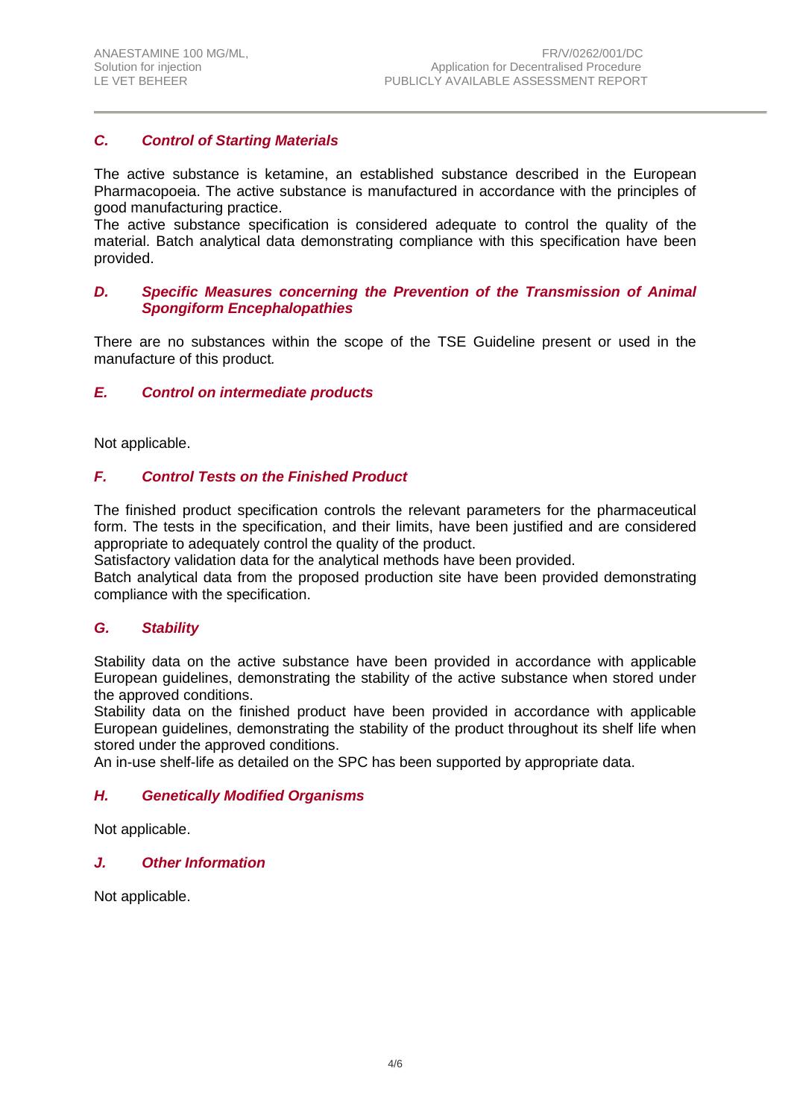## *C. Control of Starting Materials*

The active substance is ketamine, an established substance described in the European Pharmacopoeia. The active substance is manufactured in accordance with the principles of good manufacturing practice.

The active substance specification is considered adequate to control the quality of the material. Batch analytical data demonstrating compliance with this specification have been provided.

## *D. Specific Measures concerning the Prevention of the Transmission of Animal Spongiform Encephalopathies*

There are no substances within the scope of the TSE Guideline present or used in the manufacture of this product*.*

#### *E. Control on intermediate products*

Not applicable.

## *F. Control Tests on the Finished Product*

The finished product specification controls the relevant parameters for the pharmaceutical form. The tests in the specification, and their limits, have been justified and are considered appropriate to adequately control the quality of the product.

Satisfactory validation data for the analytical methods have been provided.

Batch analytical data from the proposed production site have been provided demonstrating compliance with the specification.

## *G. Stability*

Stability data on the active substance have been provided in accordance with applicable European guidelines, demonstrating the stability of the active substance when stored under the approved conditions.

Stability data on the finished product have been provided in accordance with applicable European guidelines, demonstrating the stability of the product throughout its shelf life when stored under the approved conditions.

An in-use shelf-life as detailed on the SPC has been supported by appropriate data.

#### *H. Genetically Modified Organisms*

Not applicable.

#### *J. Other Information*

Not applicable.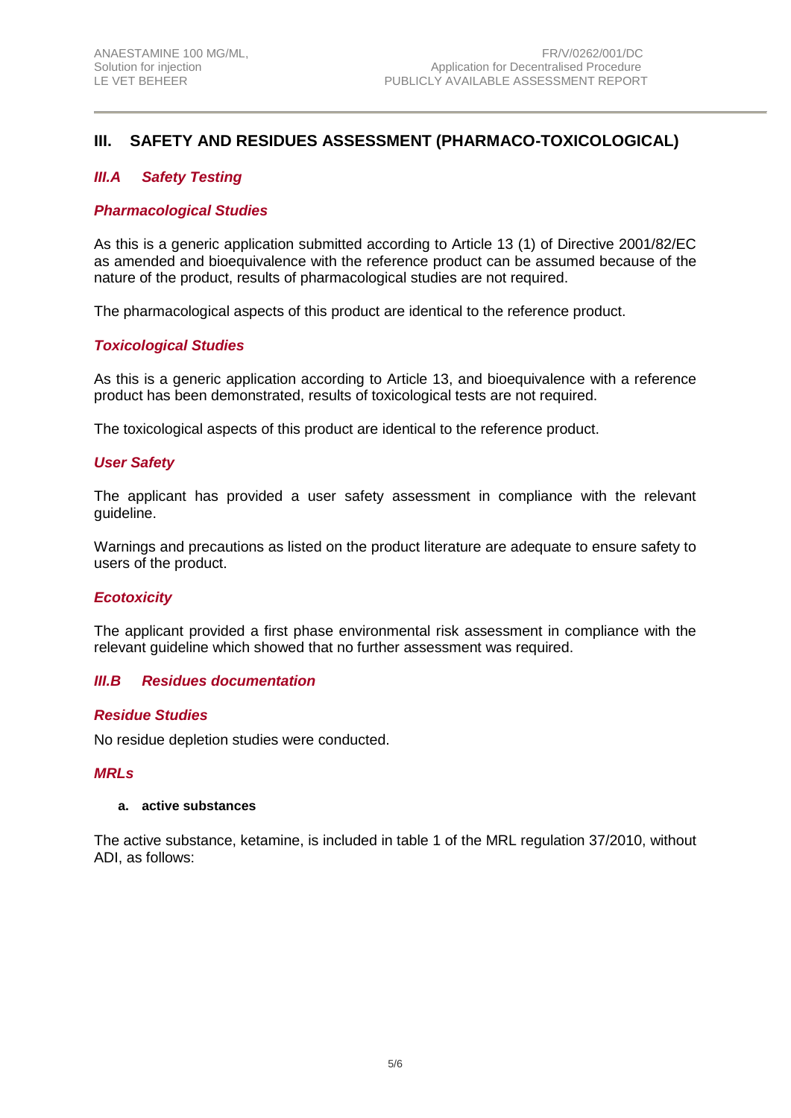## **III. SAFETY AND RESIDUES ASSESSMENT (PHARMACO-TOXICOLOGICAL)**

## *III.A Safety Testing*

## *Pharmacological Studies*

As this is a generic application submitted according to Article 13 (1) of Directive 2001/82/EC as amended and bioequivalence with the reference product can be assumed because of the nature of the product, results of pharmacological studies are not required.

The pharmacological aspects of this product are identical to the reference product.

## *Toxicological Studies*

As this is a generic application according to Article 13, and bioequivalence with a reference product has been demonstrated, results of toxicological tests are not required.

The toxicological aspects of this product are identical to the reference product.

#### *User Safety*

The applicant has provided a user safety assessment in compliance with the relevant guideline.

Warnings and precautions as listed on the product literature are adequate to ensure safety to users of the product.

## *Ecotoxicity*

The applicant provided a first phase environmental risk assessment in compliance with the relevant guideline which showed that no further assessment was required.

#### *III.B Residues documentation*

#### *Residue Studies*

No residue depletion studies were conducted.

#### *MRLs*

#### **a. active substances**

The active substance, ketamine, is included in table 1 of the MRL regulation 37/2010, without ADI, as follows: